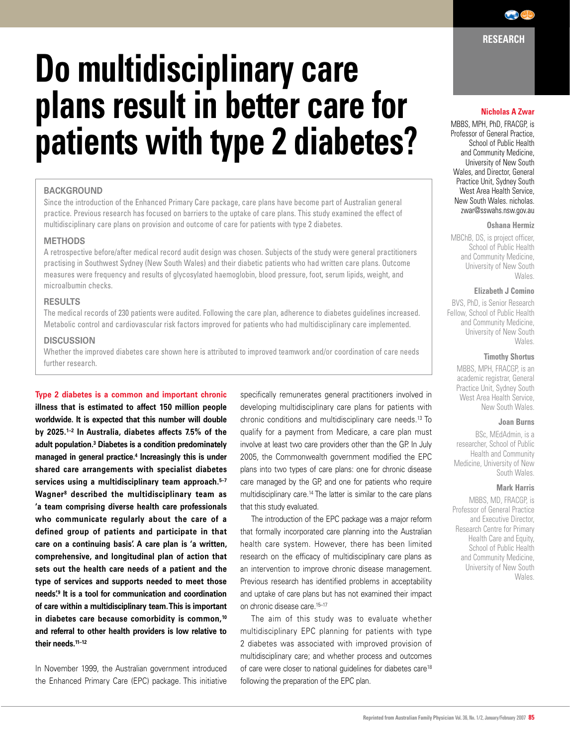# **Do multidisciplinary care plans result in better care for patients with type 2 diabetes?**

# **BACKGROUND**

Since the introduction of the Enhanced Primary Care package, care plans have become part of Australian general practice. Previous research has focused on barriers to the uptake of care plans. This study examined the effect of multidisciplinary care plans on provision and outcome of care for patients with type 2 diabetes.

# **METHODS**

A retrospective before/after medical record audit design was chosen. Subjects of the study were general practitioners practising in Southwest Sydney (New South Wales) and their diabetic patients who had written care plans. Outcome measures were frequency and results of glycosylated haemoglobin, blood pressure, foot, serum lipids, weight, and microalbumin checks.

# **RESULTS**

The medical records of 230 patients were audited. Following the care plan, adherence to diabetes guidelines increased. Metabolic control and cardiovascular risk factors improved for patients who had multidisciplinary care implemented.

## **DISCUSSION**

Whether the improved diabetes care shown here is attributed to improved teamwork and/or coordination of care needs further research.

**Type 2 diabetes is a common and important chronic illness that is estimated to affect 150 million people worldwide. It is expected that this number will double by 2025.1–2 In Australia, diabetes affects 7.5% of the adult population.3 Diabetes is a condition predominately managed in general practice.4 Increasingly this is under shared care arrangements with specialist diabetes services using a multidisciplinary team approach.5–7 Wagner8 described the multidisciplinary team as 'a team comprising diverse health care professionals who communicate regularly about the care of a defined group of patients and participate in that care on a continuing basis'. A care plan is 'a written, comprehensive, and longitudinal plan of action that sets out the health care needs of a patient and the type of services and supports needed to meet those needs'.9 It is a tool for communication and coordination of care within a multidisciplinary team. This is important in diabetes care because comorbidity is common,10 and referral to other health providers is low relative to their needs.11–12**

In November 1999, the Australian government introduced the Enhanced Primary Care (EPC) package. This initiative

specifically remunerates general practitioners involved in developing multidisciplinary care plans for patients with chronic conditions and multidisciplinary care needs.13 To qualify for a payment from Medicare, a care plan must involve at least two care providers other than the GP. In July 2005, the Commonwealth government modified the EPC plans into two types of care plans: one for chronic disease care managed by the GP, and one for patients who require multidisciplinary care.14 The latter is similar to the care plans that this study evaluated.

 The introduction of the EPC package was a major reform that formally incorporated care planning into the Australian health care system. However, there has been limited research on the efficacy of multidisciplinary care plans as an intervention to improve chronic disease management. Previous research has identified problems in acceptability and uptake of care plans but has not examined their impact on chronic disease care.15–17

 The aim of this study was to evaluate whether multidisciplinary EPC planning for patients with type 2 diabetes was associated with improved provision of multidisciplinary care; and whether process and outcomes of care were closer to national quidelines for diabetes care<sup>18</sup> following the preparation of the EPC plan.

# **Nicholas A Zwar**

**RESEARCH**

 $\bigodot$ 

MBBS, MPH, PhD, FRACGP, is Professor of General Practice, School of Public Health and Community Medicine, University of New South Wales, and Director, General Practice Unit, Sydney South West Area Health Service, New South Wales. nicholas. zwar@sswahs.nsw.gov.au

#### **Oshana Hermiz**

MBChB, DS, is project officer, School of Public Health and Community Medicine, University of New South Wales.

# **Elizabeth J Comino**

BVS, PhD, is Senior Research Fellow, School of Public Health and Community Medicine, University of New South Wales.

## **Timothy Shortus**

MBBS, MPH, FRACGP, is an academic registrar, General Practice Unit, Sydney South West Area Health Service, New South Wales.

#### **Joan Burns**

BSc, MEdAdmin, is a researcher, School of Public Health and Community Medicine, University of New South Wales.

## **Mark Harris**

MBBS, MD, FRACGP, is Professor of General Practice and Executive Director, Research Centre for Primary Health Care and Equity, School of Public Health and Community Medicine, University of New South Wales.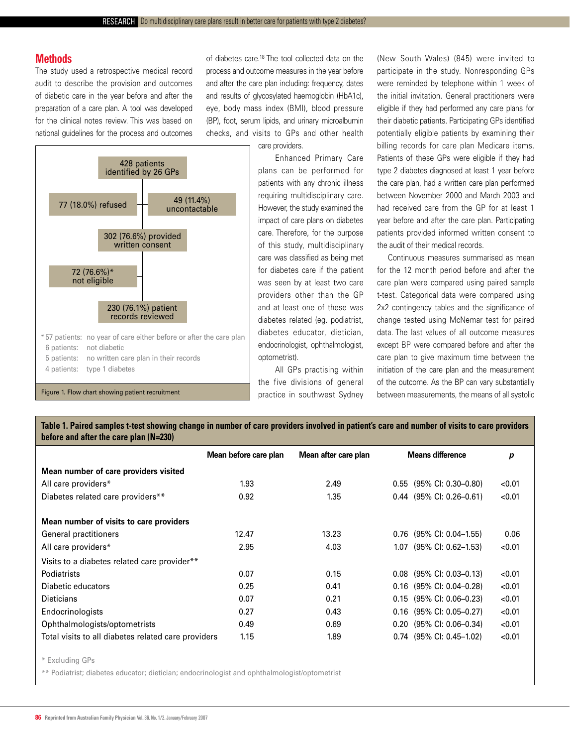# **Methods**

The study used a retrospective medical record audit to describe the provision and outcomes of diabetic care in the year before and after the preparation of a care plan. A tool was developed for the clinical notes review. This was based on national guidelines for the process and outcomes of diabetes care.18 The tool collected data on the process and outcome measures in the year before and after the care plan including: frequency, dates and results of glycosylated haemoglobin (HbA1c), eye, body mass index (BMI), blood pressure (BP), foot, serum lipids, and urinary microalbumin checks, and visits to GPs and other health

care providers.

 Enhanced Primary Care plans can be performed for patients with any chronic illness requiring multidisciplinary care. However, the study examined the impact of care plans on diabetes care. Therefore, for the purpose of this study, multidisciplinary care was classified as being met for diabetes care if the patient was seen by at least two care providers other than the GP and at least one of these was diabetes related (eg. podiatrist, diabetes educator, dietician, endocrinologist, ophthalmologist, optometrist).

 All GPs practising within the five divisions of general practice in southwest Sydney

(New South Wales) (845) were invited to participate in the study. Nonresponding GPs were reminded by telephone within 1 week of the initial invitation. General practitioners were eligible if they had performed any care plans for their diabetic patients. Participating GPs identified potentially eligible patients by examining their billing records for care plan Medicare items. Patients of these GPs were eligible if they had type 2 diabetes diagnosed at least 1 year before the care plan, had a written care plan performed between November 2000 and March 2003 and had received care from the GP for at least 1 year before and after the care plan. Participating patients provided informed written consent to the audit of their medical records.

 Continuous measures summarised as mean for the 12 month period before and after the care plan were compared using paired sample t-test. Categorical data were compared using 2x2 contingency tables and the significance of change tested using McNemar test for paired data. The last values of all outcome measures except BP were compared before and after the care plan to give maximum time between the initiation of the care plan and the measurement of the outcome. As the BP can vary substantially Figure 1. Flow chart showing patient recruitment **Figure 1. Flow chart showing patient** Figure 1. Flow chart showing patient recruitment

**Table 1. Paired samples t-test showing change in number of care providers involved in patient's care and number of visits to care providers before and after the care plan (N=230)**

|                                                     | Mean before care plan | Mean after care plan | <b>Means difference</b>    |        |
|-----------------------------------------------------|-----------------------|----------------------|----------------------------|--------|
| Mean number of care providers visited               |                       |                      |                            |        |
| All care providers*                                 | 1.93                  | 2.49                 | $0.55$ (95% CI: 0.30-0.80) | < 0.01 |
| Diabetes related care providers**                   | 0.92                  | 1.35                 | $0.44$ (95% CI: 0.26-0.61) | < 0.01 |
| Mean number of visits to care providers             |                       |                      |                            |        |
| General practitioners                               | 12.47                 | 13.23                | $0.76$ (95% CI: 0.04-1.55) | 0.06   |
| All care providers*                                 | 2.95                  | 4.03                 | $1.07$ (95% CI: 0.62-1.53) | < 0.01 |
| Visits to a diabetes related care provider**        |                       |                      |                            |        |
| <b>Podiatrists</b>                                  | 0.07                  | 0.15                 | $0.08$ (95% CI: 0.03-0.13) | < 0.01 |
| Diabetic educators                                  | 0.25                  | 0.41                 | $0.16$ (95% CI: 0.04-0.28) | < 0.01 |
| Dieticians                                          | 0.07                  | 0.21                 | $0.15$ (95% CI: 0.06-0.23) | < 0.01 |
| Endocrinologists                                    | 0.27                  | 0.43                 | $0.16$ (95% CI: 0.05-0.27) | < 0.01 |
| Ophthalmologists/optometrists                       | 0.49                  | 0.69                 | $0.20$ (95% CI: 0.06-0.34) | < 0.01 |
| Total visits to all diabetes related care providers | 1.15                  | 1.89                 | $0.74$ (95% CI: 0.45-1.02) | < 0.01 |
| * Excluding GPs                                     |                       |                      |                            |        |

\*\* Podiatrist; diabetes educator; dietician; endocrinologist and ophthalmologist/optometrist



428 patients identified by 26 GPs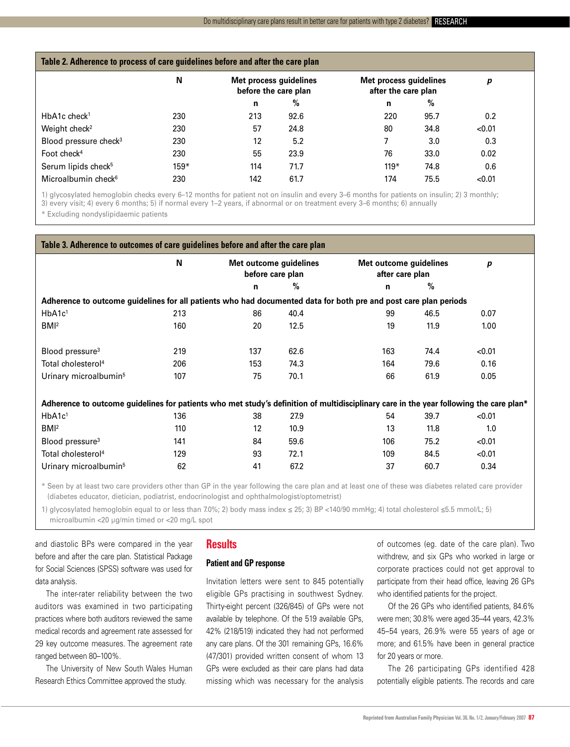| Table 2. Adherence to process of care guidelines before and after the care plan |        |                                                |      |                                               |      |        |  |  |
|---------------------------------------------------------------------------------|--------|------------------------------------------------|------|-----------------------------------------------|------|--------|--|--|
|                                                                                 | N      | Met process guidelines<br>before the care plan |      | Met process guidelines<br>after the care plan |      | р      |  |  |
|                                                                                 |        | n                                              | $\%$ | n                                             | $\%$ |        |  |  |
| $HbA1c$ check <sup>1</sup>                                                      | 230    | 213                                            | 92.6 | 220                                           | 95.7 | 0.2    |  |  |
| Weight check <sup>2</sup>                                                       | 230    | 57                                             | 24.8 | 80                                            | 34.8 | < 0.01 |  |  |
| Blood pressure check <sup>3</sup>                                               | 230    | 12                                             | 5.2  |                                               | 3.0  | 0.3    |  |  |
| Foot check $4$                                                                  | 230    | 55                                             | 23.9 | 76                                            | 33.0 | 0.02   |  |  |
| Serum lipids check <sup>5</sup>                                                 | $159*$ | 114                                            | 71.7 | $119*$                                        | 74.8 | 0.6    |  |  |
| Microalbumin check <sup>6</sup>                                                 | 230    | 142                                            | 61.7 | 174                                           | 75.5 | < 0.01 |  |  |

1) glycosylated hemoglobin checks every 6–12 months for patient not on insulin and every 3–6 months for patients on insulin; 2) 3 monthly;

3) every visit; 4) every 6 months; 5) if normal every 1–2 years, if abnormal or on treatment every 3–6 months; 6) annually

\* Excluding nondyslipidaemic patients

| Table 3. Adherence to outcomes of care guidelines before and after the care plan                                                       |     |                                            |      |     |                                           |        |  |  |
|----------------------------------------------------------------------------------------------------------------------------------------|-----|--------------------------------------------|------|-----|-------------------------------------------|--------|--|--|
|                                                                                                                                        | N   | Met outcome guidelines<br>before care plan |      |     | Met outcome guidelines<br>after care plan |        |  |  |
|                                                                                                                                        |     | n                                          | %    | n   | $\%$                                      |        |  |  |
| Adherence to outcome guidelines for all patients who had documented data for both pre and post care plan periods                       |     |                                            |      |     |                                           |        |  |  |
| HbA1c <sup>1</sup>                                                                                                                     | 213 | 86                                         | 40.4 | 99  | 46.5                                      | 0.07   |  |  |
| BM <sup>2</sup>                                                                                                                        | 160 | 20                                         | 12.5 | 19  | 11.9                                      | 1.00   |  |  |
|                                                                                                                                        |     |                                            |      |     |                                           |        |  |  |
| Blood pressure <sup>3</sup>                                                                                                            | 219 | 137                                        | 62.6 | 163 | 74.4                                      | < 0.01 |  |  |
| Total cholesterol <sup>4</sup>                                                                                                         | 206 | 153                                        | 74.3 | 164 | 79.6                                      | 0.16   |  |  |
| Urinary microalbumin <sup>5</sup>                                                                                                      | 107 | 75                                         | 70.1 | 66  | 61.9                                      | 0.05   |  |  |
|                                                                                                                                        |     |                                            |      |     |                                           |        |  |  |
| Adherence to outcome guidelines for patients who met study's definition of multidisciplinary care in the year following the care plan* |     |                                            |      |     |                                           |        |  |  |
| HbA1c <sup>1</sup>                                                                                                                     | 136 | 38                                         | 27.9 | 54  | 39.7                                      | < 0.01 |  |  |
| BM <sup>2</sup>                                                                                                                        | 110 | 12                                         | 10.9 | 13  | 11.8                                      | 1.0    |  |  |
| Blood pressure <sup>3</sup>                                                                                                            | 141 | 84                                         | 59.6 | 106 | 75.2                                      | < 0.01 |  |  |
| Total cholesterol <sup>4</sup>                                                                                                         | 129 | 93                                         | 72.1 | 109 | 84.5                                      | < 0.01 |  |  |
| Urinary microalbumin <sup>5</sup>                                                                                                      | 62  | 41                                         | 67.2 | 37  | 60.7                                      | 0.34   |  |  |
|                                                                                                                                        |     |                                            |      |     |                                           |        |  |  |

\* Seen by at least two care providers other than GP in the year following the care plan and at least one of these was diabetes related care provider (diabetes educator, dietician, podiatrist, endocrinologist and ophthalmologist/optometrist)

1) glycosylated hemoglobin equal to or less than 7.0%; 2) body mass index ≤ 25; 3) BP <140/90 mmHg; 4) total cholesterol ≤5.5 mmol/L; 5) microalbumin <20 µg/min timed or <20 mg/L spot

and diastolic BPs were compared in the year before and after the care plan. Statistical Package for Social Sciences (SPSS) software was used for data analysis.

 The inter-rater reliability between the two auditors was examined in two participating practices where both auditors reviewed the same medical records and agreement rate assessed for 29 key outcome measures. The agreement rate ranged between 80–100%.

 The University of New South Wales Human Research Ethics Committee approved the study.

# **Results**

# **Patient and GP response**

Invitation letters were sent to 845 potentially eligible GPs practising in southwest Sydney. Thirty-eight percent (326/845) of GPs were not available by telephone. Of the 519 available GPs, 42% (218/519) indicated they had not performed any care plans. Of the 301 remaining GPs, 16.6% (47/301) provided written consent of whom 13 GPs were excluded as their care plans had data missing which was necessary for the analysis of outcomes (eg. date of the care plan). Two withdrew, and six GPs who worked in large or corporate practices could not get approval to participate from their head office, leaving 26 GPs who identified patients for the project.

 Of the 26 GPs who identified patients, 84.6% were men; 30.8% were aged 35–44 years, 42.3% 45–54 years, 26.9% were 55 years of age or more; and 61.5% have been in general practice for 20 years or more.

 The 26 participating GPs identified 428 potentially eligible patients. The records and care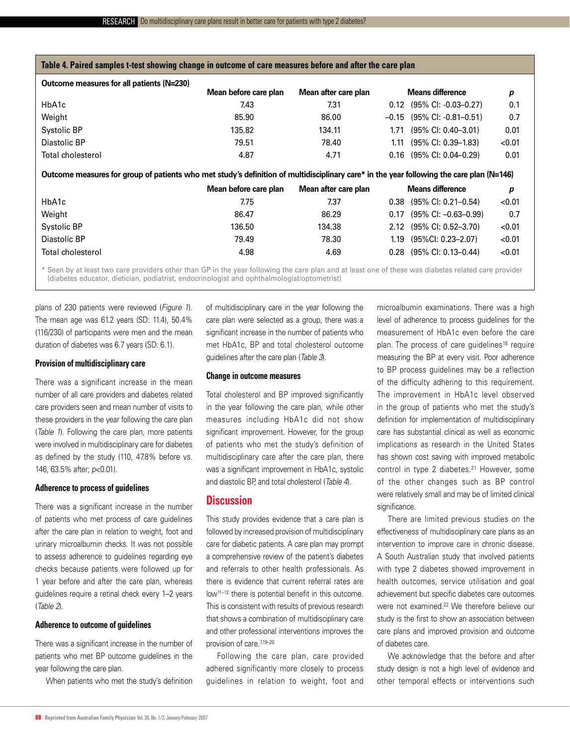| Table 4. Paired samples t-test showing change in outcome of care measures before and after the care plan                                 |                       |                      |                         |                                   |        |  |  |  |
|------------------------------------------------------------------------------------------------------------------------------------------|-----------------------|----------------------|-------------------------|-----------------------------------|--------|--|--|--|
| Outcome measures for all patients (N=230)                                                                                                | Mean before care plan | Mean after care plan | <b>Means difference</b> |                                   | p      |  |  |  |
| HbA1c                                                                                                                                    | 7.43                  | 7.31                 | 0.12                    | $(95\% \text{ Cl}: -0.03 - 0.27)$ | 0.1    |  |  |  |
| Weight                                                                                                                                   | 85.90                 | 86.00                | $-0.15$                 | $(95\% \text{ Cl}: -0.81 - 0.51)$ | 0.7    |  |  |  |
| Systolic BP                                                                                                                              | 135.82                | 134.11               | 1.71                    | $(95\% \text{ Cl}: 0.40 - 3.01)$  | 0.01   |  |  |  |
| Diastolic BP                                                                                                                             | 79.51                 | 78.40                | 1.11                    | $(95\% \text{ Cl}: 0.39-1.83)$    | < 0.01 |  |  |  |
| Total cholesterol                                                                                                                        | 4.87                  | 4.71                 | 0.16                    | $(95\% \text{ Cl}: 0.04 - 0.29)$  | 0.01   |  |  |  |
| Outcome measures for group of patients who met study's definition of multidisciplinary care* in the year following the care plan (N=146) |                       |                      |                         |                                   |        |  |  |  |
|                                                                                                                                          | Mean before care plan | Mean after care plan | <b>Means difference</b> |                                   | р      |  |  |  |
| HbA1c                                                                                                                                    | 7.75                  | 7.37                 | 0.38                    | (95% CI: 0.21-0.54)               | < 0.01 |  |  |  |
| Weight                                                                                                                                   | 86.47                 | 86.29                | 0.17                    | $(95\% \text{ Cl}: -0.63 - 0.99)$ | 0.7    |  |  |  |
| Systolic BP                                                                                                                              | 136.50                | 134.38               | 2.12                    | $(95\% \text{ Cl}: 0.52 - 3.70)$  | < 0.01 |  |  |  |

\* Seen by at least two care providers other than GP in the year following the care plan and at least one of these was diabetes related care provider (diabetes educator, dietician, podiatrist, endocrinologist and ophthalmologist/optometrist)

Diastolic BP 79.49 78.30 1.19 (95%CI: 0.23–2.07) <0.01 Total cholesterol 4.98 4.69 0.28 (95% CI: 0.13–0.44) <0.01

plans of 230 patients were reviewed (*Figure 1*). The mean age was 61.2 years (SD: 11.4), 50.4% (116/230) of participants were men and the mean duration of diabetes was 6.7 years (SD: 6.1).

# **Provision of multidisciplinary care**

There was a significant increase in the mean number of all care providers and diabetes related care providers seen and mean number of visits to these providers in the year following the care plan (*Table 1*). Following the care plan, more patients were involved in multidisciplinary care for diabetes as defined by the study (110, 47.8% before vs. 146, 63.5% after; *p*<0.01).

## **Adherence to process of guidelines**

There was a significant increase in the number of patients who met process of care guidelines after the care plan in relation to weight, foot and urinary microalbumin checks. It was not possible to assess adherence to guidelines regarding eye checks because patients were followed up for 1 year before and after the care plan, whereas guidelines require a retinal check every 1–2 years (*Table 2*).

# **Adherence to outcome of guidelines**

There was a significant increase in the number of patients who met BP outcome guidelines in the year following the care plan.

 When patients who met the study's definition

of multidisciplinary care in the year following the care plan were selected as a group, there was a significant increase in the number of patients who met HbA1c, BP and total cholesterol outcome guidelines after the care plan (*Table 3*).

## **Change in outcome measures**

Total cholesterol and BP improved significantly in the year following the care plan, while other measures including HbA1c did not show significant improvement. However, for the group of patients who met the study's definition of multidisciplinary care after the care plan, there was a significant improvement in HbA1c, systolic and diastolic BP, and total cholesterol (*Table 4*).

# **Discussion**

This study provides evidence that a care plan is followed by increased provision of multidisciplinary care for diabetic patients. A care plan may prompt a comprehensive review of the patient's diabetes and referrals to other health professionals. As there is evidence that current referral rates are low11–12 there is potential benefit in this outcome. This is consistent with results of previous research that shows a combination of multidisciplinary care and other professional interventions improves the provision of care.<sup>7,19-20</sup>

 Following the care plan, care provided adhered significantly more closely to process guidelines in relation to weight, foot and

microalbumin examinations. There was a high level of adherence to process guidelines for the measurement of HbA1c even before the care plan. The process of care guidelines<sup>18</sup> require measuring the BP at every visit. Poor adherence to BP process guidelines may be a reflection of the difficulty adhering to this requirement. The improvement in HbA1c level observed in the group of patients who met the study's definition for implementation of multidisciplinary care has substantial clinical as well as economic implications as research in the United States has shown cost saving with improved metabolic control in type 2 diabetes.<sup>21</sup> However, some of the other changes such as BP control were relatively small and may be of limited clinical significance.

 There are limited previous studies on the effectiveness of multidisciplinary care plans as an intervention to improve care in chronic disease. A South Australian study that involved patients with type 2 diabetes showed improvement in health outcomes, service utilisation and goal achievement but specific diabetes care outcomes were not examined.22 We therefore believe our study is the first to show an association between care plans and improved provision and outcome of diabetes care.

 We acknowledge that the before and after study design is not a high level of evidence and other temporal effects or interventions such